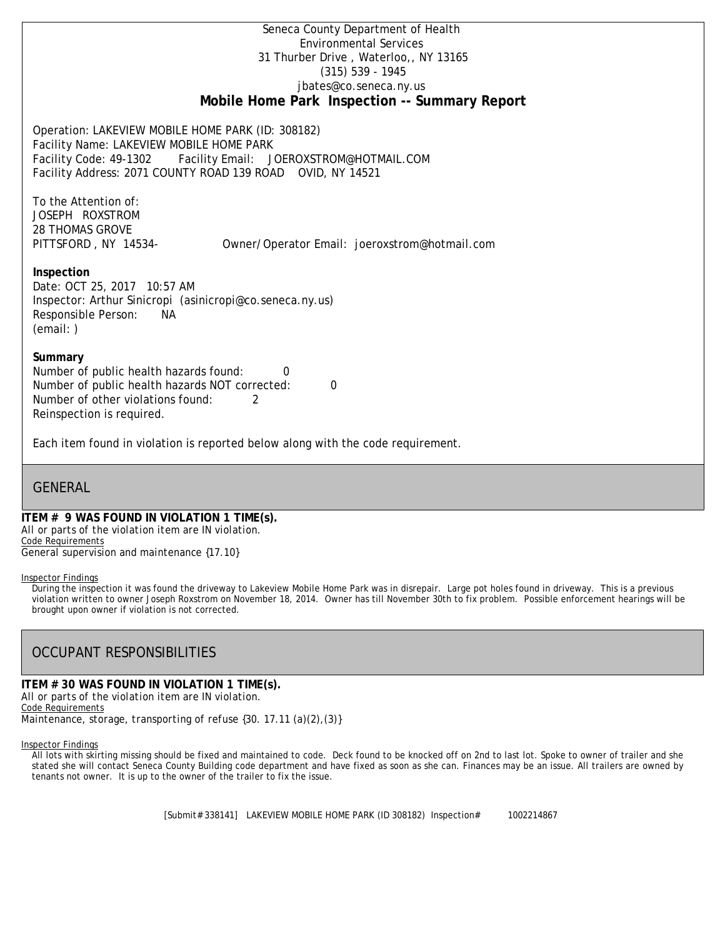Seneca County Department of Health Environmental Services 31 Thurber Drive , Waterloo,, NY 13165 (315) 539 - 1945 [jbates@co.seneca.ny.us](mailto:jbates@co.seneca.ny.us) **Mobile Home Park Inspection -- Summary Report**

Operation: LAKEVIEW MOBILE HOME PARK (ID: 308182) Facility Name: LAKEVIEW MOBILE HOME PARK Facility Code: 49-1302 Facility Email: [JOEROXSTROM@HOTMAIL.COM](mailto:JOEROXSTROM@HOTMAIL.COM) Facility Address: 2071 COUNTY ROAD 139 ROAD OVID, NY 14521

To the Attention of: JOSEPH ROXSTROM 28 THOMAS GROVE

PITTSFORD , NY 14534- [Owner/Operator Email: joeroxstrom@hotmail.com](mailto:joeroxstrom@hotmail.com)

# **Inspection**

Date: OCT 25, 2017 10:57 AM Inspector: Arthur Sinicropi (asinicropi@co.seneca.ny.us) Responsible Person: NA (email: )

### **Summary**

Number of public health hazards found: 0 Number of public health hazards NOT corrected: 0 Number of other violations found: 2 Reinspection is required.

Each item found in violation is reported below along with the code requirement.

# **GENERAL**

### **ITEM # 9 WAS FOUND IN VIOLATION 1 TIME(s).** *All or parts of the violation item are IN violation.* Code Requirements

*General supervision and maintenance {17.10}*

#### Inspector Findings

During the inspection it was found the driveway to Lakeview Mobile Home Park was in disrepair. Large pot holes found in driveway. This is a previous violation written to owner Joseph Roxstrom on November 18, 2014. Owner has till November 30th to fix problem. Possible enforcement hearings will be brought upon owner if violation is not corrected.

# OCCUPANT RESPONSIBILITIES

#### **ITEM # 30 WAS FOUND IN VIOLATION 1 TIME(s).** *All or parts of the violation item are IN violation.*

Code Requirements

*Maintenance, storage, transporting of refuse {30. 17.11 (a)(2),(3)}*

Inspector Findings

All lots with skirting missing should be fixed and maintained to code. Deck found to be knocked off on 2nd to last lot. Spoke to owner of trailer and she stated she will contact Seneca County Building code department and have fixed as soon as she can. Finances may be an issue. All trailers are owned by tenants not owner. It is up to the owner of the trailer to fix the issue.

[Submit# 338141] LAKEVIEW MOBILE HOME PARK (ID 308182) Inspection# 1002214867